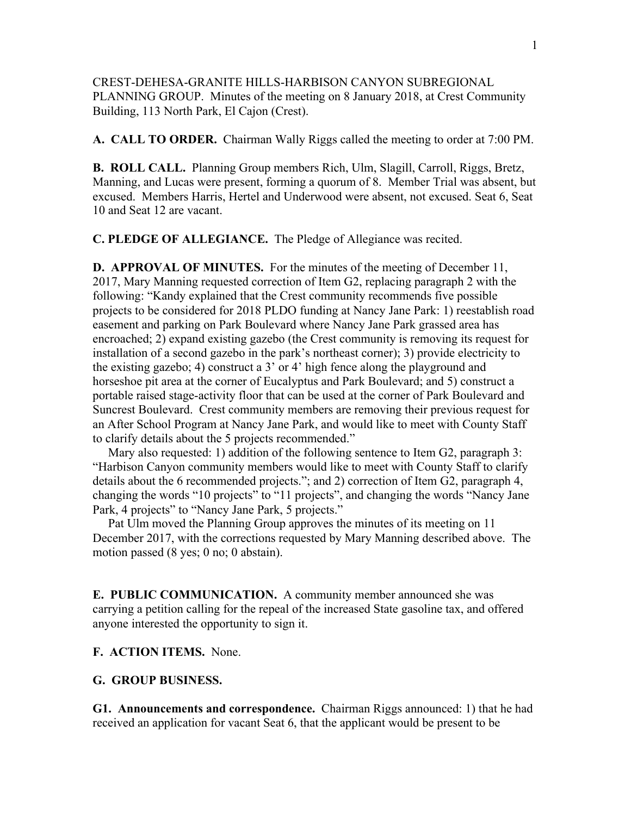CREST-DEHESA-GRANITE HILLS-HARBISON CANYON SUBREGIONAL PLANNING GROUP. Minutes of the meeting on 8 January 2018, at Crest Community Building, 113 North Park, El Cajon (Crest).

**A. CALL TO ORDER.** Chairman Wally Riggs called the meeting to order at 7:00 PM.

**B. ROLL CALL.** Planning Group members Rich, Ulm, Slagill, Carroll, Riggs, Bretz, Manning, and Lucas were present, forming a quorum of 8. Member Trial was absent, but excused. Members Harris, Hertel and Underwood were absent, not excused. Seat 6, Seat 10 and Seat 12 are vacant.

**C. PLEDGE OF ALLEGIANCE.** The Pledge of Allegiance was recited.

**D. APPROVAL OF MINUTES.** For the minutes of the meeting of December 11, 2017, Mary Manning requested correction of Item G2, replacing paragraph 2 with the following: "Kandy explained that the Crest community recommends five possible projects to be considered for 2018 PLDO funding at Nancy Jane Park: 1) reestablish road easement and parking on Park Boulevard where Nancy Jane Park grassed area has encroached; 2) expand existing gazebo (the Crest community is removing its request for installation of a second gazebo in the park's northeast corner); 3) provide electricity to the existing gazebo; 4) construct a 3' or 4' high fence along the playground and horseshoe pit area at the corner of Eucalyptus and Park Boulevard; and 5) construct a portable raised stage-activity floor that can be used at the corner of Park Boulevard and Suncrest Boulevard. Crest community members are removing their previous request for an After School Program at Nancy Jane Park, and would like to meet with County Staff to clarify details about the 5 projects recommended."

Mary also requested: 1) addition of the following sentence to Item G2, paragraph 3: "Harbison Canyon community members would like to meet with County Staff to clarify details about the 6 recommended projects."; and 2) correction of Item G2, paragraph 4, changing the words "10 projects" to "11 projects", and changing the words "Nancy Jane Park, 4 projects" to "Nancy Jane Park, 5 projects."

 Pat Ulm moved the Planning Group approves the minutes of its meeting on 11 December 2017, with the corrections requested by Mary Manning described above. The motion passed (8 yes; 0 no; 0 abstain).

**E. PUBLIC COMMUNICATION.** A community member announced she was carrying a petition calling for the repeal of the increased State gasoline tax, and offered anyone interested the opportunity to sign it.

**F. ACTION ITEMS.** None.

## **G. GROUP BUSINESS.**

**G1. Announcements and correspondence.** Chairman Riggs announced: 1) that he had received an application for vacant Seat 6, that the applicant would be present to be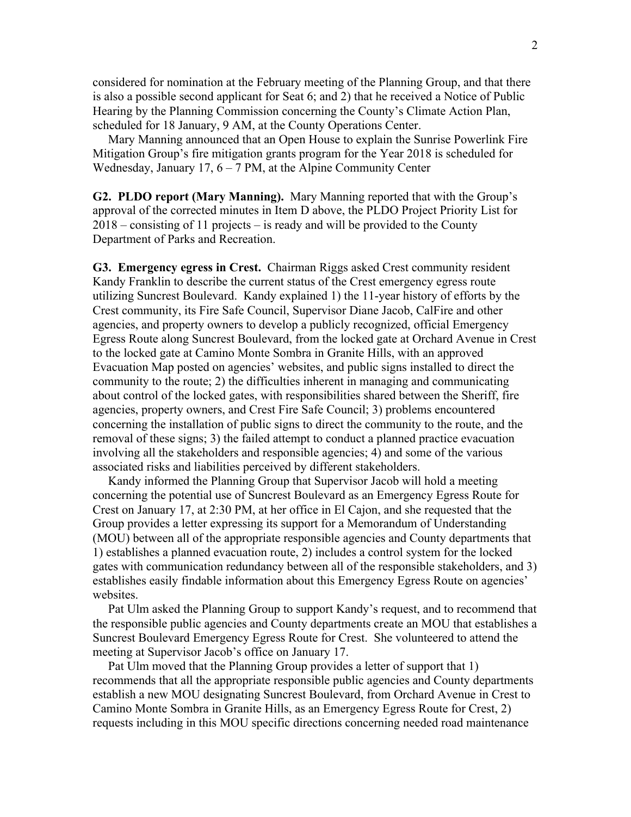considered for nomination at the February meeting of the Planning Group, and that there is also a possible second applicant for Seat 6; and 2) that he received a Notice of Public Hearing by the Planning Commission concerning the County's Climate Action Plan, scheduled for 18 January, 9 AM, at the County Operations Center.

 Mary Manning announced that an Open House to explain the Sunrise Powerlink Fire Mitigation Group's fire mitigation grants program for the Year 2018 is scheduled for Wednesday, January 17,  $6 - 7$  PM, at the Alpine Community Center

**G2. PLDO report (Mary Manning).** Mary Manning reported that with the Group's approval of the corrected minutes in Item D above, the PLDO Project Priority List for 2018 – consisting of 11 projects – is ready and will be provided to the County Department of Parks and Recreation.

**G3. Emergency egress in Crest.** Chairman Riggs asked Crest community resident Kandy Franklin to describe the current status of the Crest emergency egress route utilizing Suncrest Boulevard. Kandy explained 1) the 11-year history of efforts by the Crest community, its Fire Safe Council, Supervisor Diane Jacob, CalFire and other agencies, and property owners to develop a publicly recognized, official Emergency Egress Route along Suncrest Boulevard, from the locked gate at Orchard Avenue in Crest to the locked gate at Camino Monte Sombra in Granite Hills, with an approved Evacuation Map posted on agencies' websites, and public signs installed to direct the community to the route; 2) the difficulties inherent in managing and communicating about control of the locked gates, with responsibilities shared between the Sheriff, fire agencies, property owners, and Crest Fire Safe Council; 3) problems encountered concerning the installation of public signs to direct the community to the route, and the removal of these signs; 3) the failed attempt to conduct a planned practice evacuation involving all the stakeholders and responsible agencies; 4) and some of the various associated risks and liabilities perceived by different stakeholders.

 Kandy informed the Planning Group that Supervisor Jacob will hold a meeting concerning the potential use of Suncrest Boulevard as an Emergency Egress Route for Crest on January 17, at 2:30 PM, at her office in El Cajon, and she requested that the Group provides a letter expressing its support for a Memorandum of Understanding (MOU) between all of the appropriate responsible agencies and County departments that 1) establishes a planned evacuation route, 2) includes a control system for the locked gates with communication redundancy between all of the responsible stakeholders, and 3) establishes easily findable information about this Emergency Egress Route on agencies' websites.

 Pat Ulm asked the Planning Group to support Kandy's request, and to recommend that the responsible public agencies and County departments create an MOU that establishes a Suncrest Boulevard Emergency Egress Route for Crest. She volunteered to attend the meeting at Supervisor Jacob's office on January 17.

 Pat Ulm moved that the Planning Group provides a letter of support that 1) recommends that all the appropriate responsible public agencies and County departments establish a new MOU designating Suncrest Boulevard, from Orchard Avenue in Crest to Camino Monte Sombra in Granite Hills, as an Emergency Egress Route for Crest, 2) requests including in this MOU specific directions concerning needed road maintenance